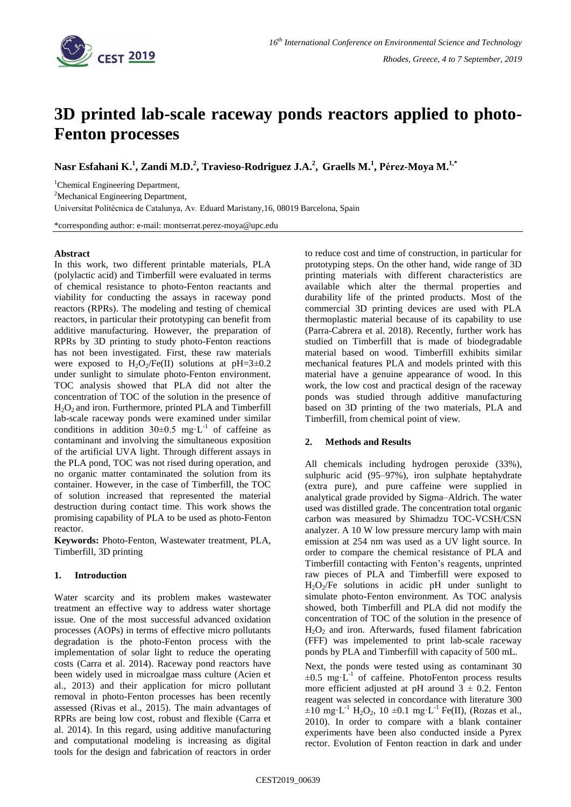

# **3D printed lab-scale raceway ponds reactors applied to photo-Fenton processes**

**Nasr Esfahani K.<sup>1</sup> , Zandi M.D.<sup>2</sup> , Travieso-Rodriguez J.A.<sup>2</sup> , Graells M.<sup>1</sup> , Pérez-Moya M. 1,\***

<sup>1</sup>Chemical Engineering Department,

<sup>2</sup>Mechanical Engineering Department,

Universitat Politècnica de Catalunya, Av. Eduard Maristany,16, 08019 Barcelona, Spain

\*corresponding author: e-mail: montserrat.perez-moya@upc.edu

#### **Abstract**

In this work, two different printable materials, PLA (polylactic acid) and Timberfill were evaluated in terms of chemical resistance to photo-Fenton reactants and viability for conducting the assays in raceway pond reactors (RPRs). The modeling and testing of chemical reactors, in particular their prototyping can benefit from additive manufacturing. However, the preparation of RPRs by 3D printing to study photo-Fenton reactions has not been investigated. First, these raw materials were exposed to  $H_2O_2/Fe(II)$  solutions at pH=3 $\pm$ 0.2 under sunlight to simulate photo-Fenton environment. TOC analysis showed that PLA did not alter the concentration of TOC of the solution in the presence of H2O<sup>2</sup> and iron. Furthermore, printed PLA and Timberfill lab-scale raceway ponds were examined under similar conditions in addition  $30\pm0.5$  mg·L<sup>-1</sup> of caffeine as contaminant and involving the simultaneous exposition of the artificial UVA light. Through different assays in the PLA pond, TOC was not rised during operation, and no organic matter contaminated the solution from its container. However, in the case of Timberfill, the TOC of solution increased that represented the material destruction during contact time. This work shows the promising capability of PLA to be used as photo-Fenton reactor.

**Keywords:** Photo-Fenton, Wastewater treatment, PLA, Timberfill, 3D printing

## **1. Introduction**

Water scarcity and its problem makes wastewater treatment an effective way to address water shortage issue. One of the most successful advanced oxidation processes (AOPs) in terms of effective micro pollutants degradation is the photo-Fenton process with the implementation of solar light to reduce the operating costs (Carra et al. 2014). Raceway pond reactors have been widely used in microalgae mass culture (Acien et al., 2013) and their application for micro pollutant removal in photo-Fenton processes has been recently assessed (Rivas et al., 2015). The main advantages of RPRs are being low cost, robust and flexible (Carra et al. 2014). In this regard, using additive manufacturing and computational modeling is increasing as digital tools for the design and fabrication of reactors in order

to reduce cost and time of construction, in particular for prototyping steps. On the other hand, wide range of 3D printing materials with different characteristics are available which alter the thermal properties and durability life of the printed products. Most of the commercial 3D printing devices are used with PLA thermoplastic material because of its capability to use (Parra-Cabrera et al. 2018). Recently, further work has studied on Timberfill that is made of biodegradable material based on wood. Timberfill exhibits similar mechanical features PLA and models printed with this material have a genuine appearance of wood. In this work, the low cost and practical design of the raceway ponds was studied through additive manufacturing based on 3D printing of the two materials, PLA and Timberfill, from chemical point of view.

## **2. Methods and Results**

All chemicals including hydrogen peroxide (33%), sulphuric acid (95–97%), iron sulphate heptahydrate (extra pure), and pure caffeine were supplied in analytical grade provided by Sigma–Aldrich. The water used was distilled grade. The concentration total organic carbon was measured by Shimadzu TOC-VCSH/CSN analyzer. A 10 W low pressure mercury lamp with main emission at 254 nm was used as a UV light source. In order to compare the chemical resistance of PLA and Timberfill contacting with Fenton's reagents, unprinted raw pieces of PLA and Timberfill were exposed to  $H_2O_2$ /Fe solutions in acidic pH under sunlight to simulate photo-Fenton environment. As TOC analysis showed, both Timberfill and PLA did not modify the concentration of TOC of the solution in the presence of  $H_2O_2$  and iron. Afterwards, fused filament fabrication (FFF) was impelemented to print lab-scale raceway ponds by PLA and Timberfill with capacity of 500 mL.

Next, the ponds were tested using as contaminant 30  $\pm 0.5$  mg·L<sup>-1</sup> of caffeine. PhotoFenton process results more efficient adjusted at pH around  $3 \pm 0.2$ . Fenton reagent was selected in concordance with literature 300  $\pm 10 \text{ mg} \cdot L^{-1} \text{ H}_2\text{O}_2$ , 10  $\pm 0.1 \text{ mg} \cdot L^{-1} \text{Fe(II)}$ , (Rozas et al., 2010). In order to compare with a blank container experiments have been also conducted inside a Pyrex rector. Evolution of Fenton reaction in dark and under